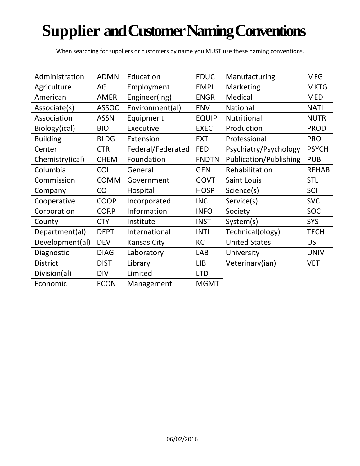# **Supplier and Customer Naming Conventions**

When searching for suppliers or customers by name you MUST use these naming conventions.

| Administration  | <b>ADMN</b>  | Education          | <b>EDUC</b>  | Manufacturing                 | <b>MFG</b>   |
|-----------------|--------------|--------------------|--------------|-------------------------------|--------------|
| Agriculture     | AG           | Employment         | <b>EMPL</b>  | Marketing                     | <b>MKTG</b>  |
| American        | <b>AMER</b>  | Engineer(ing)      | <b>ENGR</b>  | Medical                       | <b>MED</b>   |
| Associate(s)    | <b>ASSOC</b> | Environment(al)    | <b>ENV</b>   | <b>National</b>               | <b>NATL</b>  |
| Association     | <b>ASSN</b>  | Equipment          | <b>EQUIP</b> | Nutritional                   | <b>NUTR</b>  |
| Biology(ical)   | <b>BIO</b>   | Executive          | <b>EXEC</b>  | Production                    | <b>PROD</b>  |
| <b>Building</b> | <b>BLDG</b>  | Extension          | <b>EXT</b>   | Professional                  | <b>PRO</b>   |
| Center          | <b>CTR</b>   | Federal/Federated  | <b>FED</b>   | Psychiatry/Psychology         | <b>PSYCH</b> |
| Chemistry(ical) | <b>CHEM</b>  | Foundation         | <b>FNDTN</b> | <b>Publication/Publishing</b> | <b>PUB</b>   |
| Columbia        | <b>COL</b>   | General            | <b>GEN</b>   | Rehabilitation                | <b>REHAB</b> |
| Commission      | <b>COMM</b>  | Government         | <b>GOVT</b>  | Saint Louis                   | <b>STL</b>   |
| Company         | CO           | Hospital           | <b>HOSP</b>  | Science(s)                    | SCI          |
| Cooperative     | <b>COOP</b>  | Incorporated       | <b>INC</b>   | Service(s)                    | <b>SVC</b>   |
| Corporation     | <b>CORP</b>  | Information        | <b>INFO</b>  | Society                       | <b>SOC</b>   |
| County          | <b>CTY</b>   | Institute          | <b>INST</b>  | System(s)                     | <b>SYS</b>   |
| Department(al)  | <b>DEPT</b>  | International      | <b>INTL</b>  | Technical(ology)              | <b>TECH</b>  |
| Development(al) | <b>DEV</b>   | <b>Kansas City</b> | KC           | <b>United States</b>          | <b>US</b>    |
| Diagnostic      | <b>DIAG</b>  | Laboratory         | <b>LAB</b>   | University                    | <b>UNIV</b>  |
| <b>District</b> | <b>DIST</b>  | Library            | LIB          | Veterinary(ian)               | <b>VET</b>   |
| Division(al)    | <b>DIV</b>   | Limited            | <b>LTD</b>   |                               |              |
| Economic        | <b>ECON</b>  | Management         | <b>MGMT</b>  |                               |              |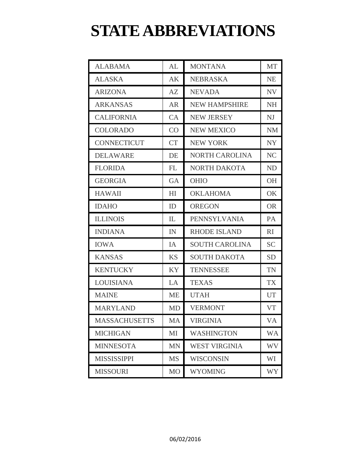### **STATE ABBREVIATIONS**

| <b>ALABAMA</b>       | AL        | <b>MONTANA</b>        | <b>MT</b> |
|----------------------|-----------|-----------------------|-----------|
| <b>ALASKA</b>        | AK        | <b>NEBRASKA</b>       | <b>NE</b> |
| <b>ARIZONA</b>       | AZ        | <b>NEVADA</b>         | <b>NV</b> |
| <b>ARKANSAS</b>      | <b>AR</b> | <b>NEW HAMPSHIRE</b>  | <b>NH</b> |
| <b>CALIFORNIA</b>    | CA        | <b>NEW JERSEY</b>     | NJ        |
| <b>COLORADO</b>      | CO        | <b>NEW MEXICO</b>     | <b>NM</b> |
| <b>CONNECTICUT</b>   | <b>CT</b> | <b>NEW YORK</b>       | <b>NY</b> |
| <b>DELAWARE</b>      | DE        | NORTH CAROLINA        | <b>NC</b> |
| <b>FLORIDA</b>       | FL        | NORTH DAKOTA          | ND        |
| <b>GEORGIA</b>       | <b>GA</b> | <b>OHIO</b>           | <b>OH</b> |
| <b>HAWAII</b>        | HI        | <b>OKLAHOMA</b>       | OK        |
| <b>IDAHO</b>         | ID        | <b>OREGON</b>         | <b>OR</b> |
| <b>ILLINOIS</b>      | IL        | PENNSYLVANIA          | PA        |
| <b>INDIANA</b>       | IN        | <b>RHODE ISLAND</b>   | RI        |
| <b>IOWA</b>          | IA        | <b>SOUTH CAROLINA</b> | <b>SC</b> |
| <b>KANSAS</b>        | <b>KS</b> | <b>SOUTH DAKOTA</b>   | <b>SD</b> |
| <b>KENTUCKY</b>      | <b>KY</b> | <b>TENNESSEE</b>      | <b>TN</b> |
| <b>LOUISIANA</b>     | LA        | <b>TEXAS</b>          | <b>TX</b> |
| <b>MAINE</b>         | <b>ME</b> | <b>UTAH</b>           | UT        |
| <b>MARYLAND</b>      | <b>MD</b> | <b>VERMONT</b>        | <b>VT</b> |
| <b>MASSACHUSETTS</b> | MA        | VIRGINIA              | VA        |
| <b>MICHIGAN</b>      | MI        | <b>WASHINGTON</b>     | <b>WA</b> |
| <b>MINNESOTA</b>     | <b>MN</b> | <b>WEST VIRGINIA</b>  | WV        |
| <b>MISSISSIPPI</b>   | <b>MS</b> | <b>WISCONSIN</b>      | WI        |
| <b>MISSOURI</b>      | <b>MO</b> | <b>WYOMING</b>        | <b>WY</b> |